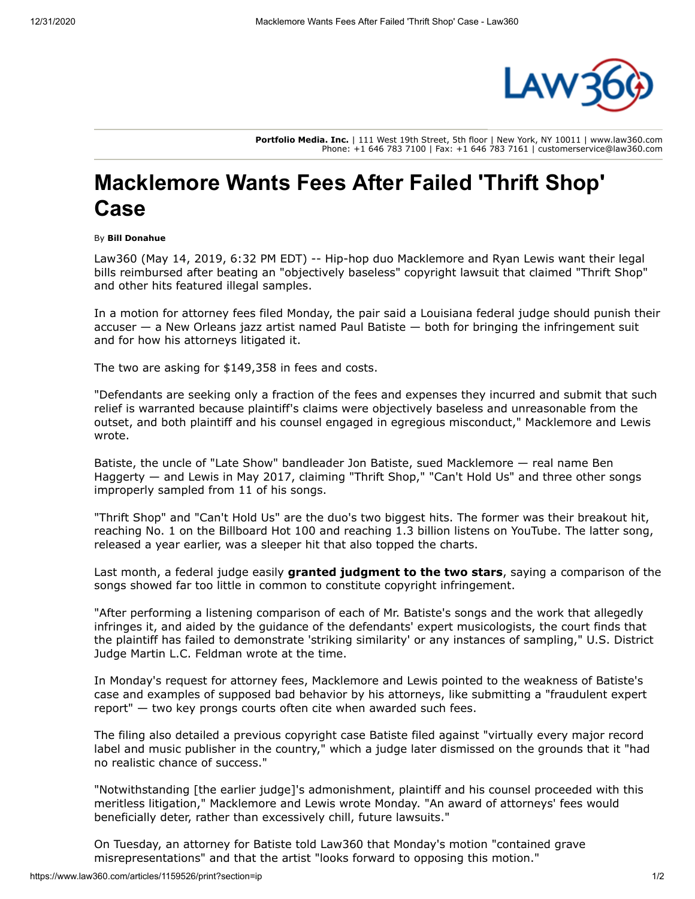

**Portfolio Media. Inc.** | 111 West 19th Street, 5th floor | New York, NY 10011 | www.law360.com Phone: +1 646 783 7100 | Fax: +1 646 783 7161 | customerservice@law360.com

## **Macklemore Wants Fees After Failed 'Thrift Shop' Case**

## By **Bill Donahue**

Law360 (May 14, 2019, 6:32 PM EDT) -- Hip-hop duo Macklemore and Ryan Lewis want their legal bills reimbursed after beating an "objectively baseless" copyright lawsuit that claimed "Thrift Shop" and other hits featured illegal samples.

In a motion for attorney fees filed Monday, the pair said a Louisiana federal judge should punish their accuser — a New Orleans jazz artist named Paul Batiste — both for bringing the infringement suit and for how his attorneys litigated it.

The two are asking for \$149,358 in fees and costs.

"Defendants are seeking only a fraction of the fees and expenses they incurred and submit that such relief is warranted because plaintiff's claims were objectively baseless and unreasonable from the outset, and both plaintiff and his counsel engaged in egregious misconduct," Macklemore and Lewis wrote.

Batiste, the uncle of "Late Show" bandleader Jon Batiste, sued Macklemore — real name Ben Haggerty — and Lewis in May 2017, claiming "Thrift Shop," "Can't Hold Us" and three other songs improperly sampled from 11 of his songs.

"Thrift Shop" and "Can't Hold Us" are the duo's two biggest hits. The former was their breakout hit, reaching No. 1 on the Billboard Hot 100 and reaching 1.3 billion listens on [YouTube](https://www.law360.com/companies/youtube-inc). The latter song, released a year earlier, was a sleeper hit that also topped the charts.

Last month, a federal judge easily **[granted judgment to the two stars](https://www.law360.com/articles/1153205)**, saying a comparison of the songs showed far too little in common to constitute copyright infringement.

"After performing a listening comparison of each of Mr. Batiste's songs and the work that allegedly infringes it, and aided by the guidance of the defendants' expert musicologists, the court finds that the plaintiff has failed to demonstrate 'striking similarity' or any instances of sampling," U.S. District Judge Martin L.C. Feldman wrote at the time.

In Monday's request for attorney fees, Macklemore and Lewis pointed to the weakness of Batiste's case and examples of supposed bad behavior by his attorneys, like submitting a "fraudulent expert report" — two key prongs courts often cite when awarded such fees.

The filing also detailed a previous copyright case Batiste filed against "virtually every major record label and music publisher in the country," which a judge later dismissed on the grounds that it "had no realistic chance of success."

"Notwithstanding [the earlier judge]'s admonishment, plaintiff and his counsel proceeded with this meritless litigation," Macklemore and Lewis wrote Monday. "An award of attorneys' fees would beneficially deter, rather than excessively chill, future lawsuits."

On Tuesday, an attorney for Batiste told Law360 that Monday's motion "contained grave misrepresentations" and that the artist "looks forward to opposing this motion."